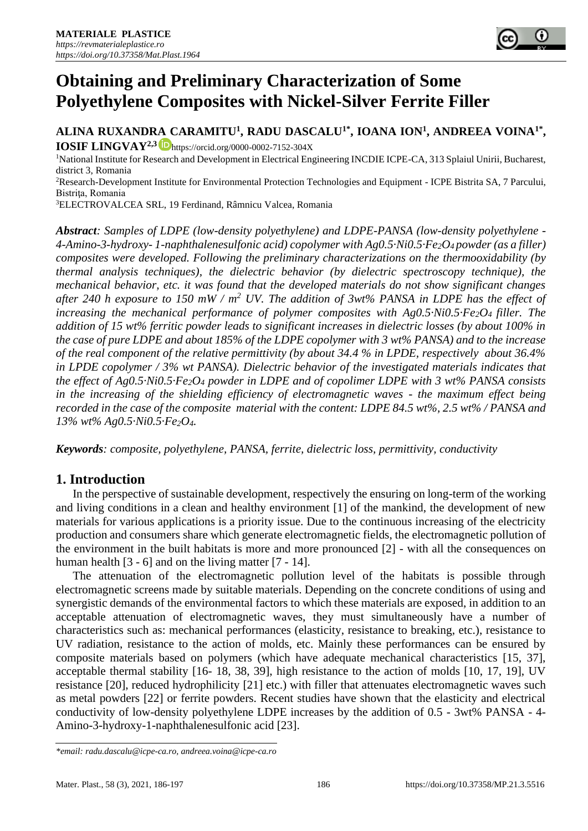

**ALINA RUXANDRA CARAMITU<sup>1</sup> , RADU DASCALU1\*, IOANA ION<sup>1</sup> , ANDREEA VOINA1\* ,** 

**IOSIF LINGVAY2,3** <https://orcid.org/0000-0002-7152-304X>

<sup>1</sup>National Institute for Research and Development in Electrical Engineering INCDIE ICPE-CA, 313 Splaiul Unirii, Bucharest, district 3, Romania

<sup>2</sup>Research-Development Institute for Environmental Protection Technologies and Equipment - ICPE Bistrita SA, 7 Parcului, Bistriţa, Romania

<sup>3</sup>ELECTROVALCEA SRL, 19 Ferdinand, Râmnicu Valcea, Romania

*Abstract: Samples of LDPE (low-density polyethylene) and LDPE-PANSA (low-density polyethylene - 4-Amino-3-hydroxy- 1-naphthalenesulfonic acid) copolymer with Ag0.5·Ni0.5·Fe2O4 powder (as a filler) composites were developed. Following the preliminary characterizations on the thermooxidability (by thermal analysis techniques), the dielectric behavior (by dielectric spectroscopy technique), the mechanical behavior, etc. it was found that the developed materials do not show significant changes after 240 h exposure to 150 mW / m<sup>2</sup> UV. The addition of 3wt% PANSA in LDPE has the effect of increasing the mechanical performance of polymer composites with Ag0.5·Ni0.5·Fe2O4 filler. The addition of 15 wt% ferritic powder leads to significant increases in dielectric losses (by about 100% in the case of pure LDPE and about 185% of the LDPE copolymer with 3 wt% PANSA) and to the increase of the real component of the relative permittivity (by about 34.4 % in LPDE, respectively about 36.4% in LPDE copolymer / 3% wt PANSA). Dielectric behavior of the investigated materials indicates that the effect of Ag0.5·Ni0.5·Fe2O<sup>4</sup> powder in LDPE and of copolimer LDPE with 3 wt% PANSA consists in the increasing of the shielding efficiency of electromagnetic waves - the maximum effect being recorded in the case of the composite material with the content: LDPE 84.5 wt%, 2.5 wt% / PANSA and 13% wt% Ag0.5·Ni0.5·Fe2O4.*

*Keywords: composite, polyethylene, PANSA, ferrite, dielectric loss, permittivity, conductivity* 

# **1. Introduction**

In the perspective of sustainable development, respectively the ensuring on long-term of the working and living conditions in a clean and healthy environment [1] of the mankind, the development of new materials for various applications is a priority issue. Due to the continuous increasing of the electricity production and consumers share which generate electromagnetic fields, the electromagnetic pollution of the environment in the built habitats is more and more pronounced [2] - with all the consequences on human health [3 - 6] and on the living matter [7 - 14].

The attenuation of the electromagnetic pollution level of the habitats is possible through electromagnetic screens made by suitable materials. Depending on the concrete conditions of using and synergistic demands of the environmental factors to which these materials are exposed, in addition to an acceptable attenuation of electromagnetic waves, they must simultaneously have a number of characteristics such as: mechanical performances (elasticity, resistance to breaking, etc.), resistance to UV radiation, resistance to the action of molds, etc. Mainly these performances can be ensured by composite materials based on polymers (which have adequate mechanical characteristics [15, 37], acceptable thermal stability [16- 18, 38, 39], high resistance to the action of molds [10, 17, 19], UV resistance [20], reduced hydrophilicity [21] etc.) with filler that attenuates electromagnetic waves such as metal powders [22] or ferrite powders. Recent studies have shown that the elasticity and electrical conductivity of low-density polyethylene LDPE increases by the addition of 0.5 - 3wt% PANSA - 4- Amino-3-hydroxy-1-naphthalenesulfonic acid [23].

*<sup>\*</sup>email[: radu.dascalu@icpe-ca.ro,](mailto:radu.dascalu@icpe-ca.ro) [andreea.voina@icpe-ca.ro](mailto:andreea.voina@icpe-ca.ro)*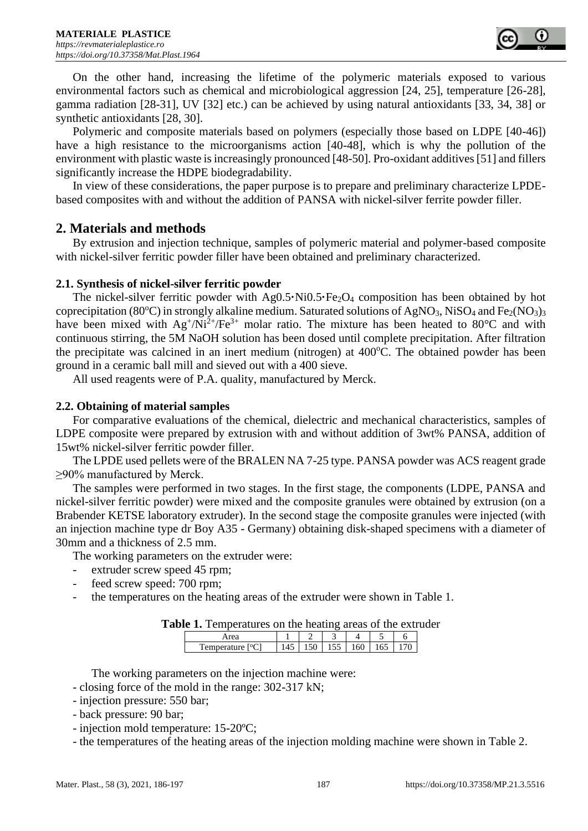

On the other hand, increasing the lifetime of the polymeric materials exposed to various environmental factors such as chemical and microbiological aggression [24, 25], temperature [26-28], gamma radiation [28-31], UV [32] etc.) can be achieved by using natural antioxidants [33, 34, 38] or synthetic antioxidants [28, 30].

Polymeric and composite materials based on polymers (especially those based on LDPE [40-46]) have a high resistance to the microorganisms action [40-48], which is why the pollution of the environment with plastic waste is increasingly pronounced [48-50]. Pro-oxidant additives [51] and fillers significantly increase the HDPE biodegradability.

In view of these considerations, the paper purpose is to prepare and preliminary characterize LPDEbased composites with and without the addition of PANSA with nickel-silver ferrite powder filler.

## **2. Materials and methods**

By extrusion and injection technique, samples of polymeric material and polymer-based composite with nickel-silver ferritic powder filler have been obtained and preliminary characterized.

#### **2.1. Synthesis of nickel-silver ferritic powder**

The nickel-silver ferritic powder with Ag0.5<sup>•</sup>Ni0.5<sup>•</sup>Fe<sub>2</sub>O<sub>4</sub> composition has been obtained by hot coprecipitation (80 $^{\circ}$ C) in strongly alkaline medium. Saturated solutions of AgNO<sub>3</sub>, NiSO<sub>4</sub> and Fe<sub>2</sub>(NO<sub>3</sub>)<sub>3</sub> have been mixed with  $Ag^{\dagger}/Ni^{2\dagger}/Fe^{3\dagger}$  molar ratio. The mixture has been heated to 80°C and with continuous stirring, the 5M NaOH solution has been dosed until complete precipitation. After filtration the precipitate was calcined in an inert medium (nitrogen) at  $400^{\circ}$ C. The obtained powder has been ground in a ceramic ball mill and sieved out with a 400 sieve.

All used reagents were of P.A. quality, manufactured by Merck.

#### **2.2. Obtaining of material samples**

For comparative evaluations of the chemical, dielectric and mechanical characteristics, samples of LDPE composite were prepared by extrusion with and without addition of 3wt% PANSA, addition of 15wt% nickel-silver ferritic powder filler.

The LPDE used pellets were of the BRALEN NA 7-25 type. PANSA powder was ACS reagent grade ≥90% manufactured by Merck.

The samples were performed in two stages. In the first stage, the components (LDPE, PANSA and nickel-silver ferritic powder) were mixed and the composite granules were obtained by extrusion (on a Brabender KETSE laboratory extruder). In the second stage the composite granules were injected (with an injection machine type dr Boy A35 - Germany) obtaining disk-shaped specimens with a diameter of 30mm and a thickness of 2.5 mm.

The working parameters on the extruder were:

- extruder screw speed 45 rpm;
- feed screw speed: 700 rpm;
- the temperatures on the heating areas of the extruder were shown in Table 1.

|  |  |  | Table 1. Temperatures on the heating areas of the extruder |
|--|--|--|------------------------------------------------------------|
|--|--|--|------------------------------------------------------------|

The working parameters on the injection machine were:

- closing force of the mold in the range: 302-317 kN;

- injection pressure: 550 bar;
- back pressure: 90 bar;
- injection mold temperature: 15-20ºC;
- the temperatures of the heating areas of the injection molding machine were shown in Table 2.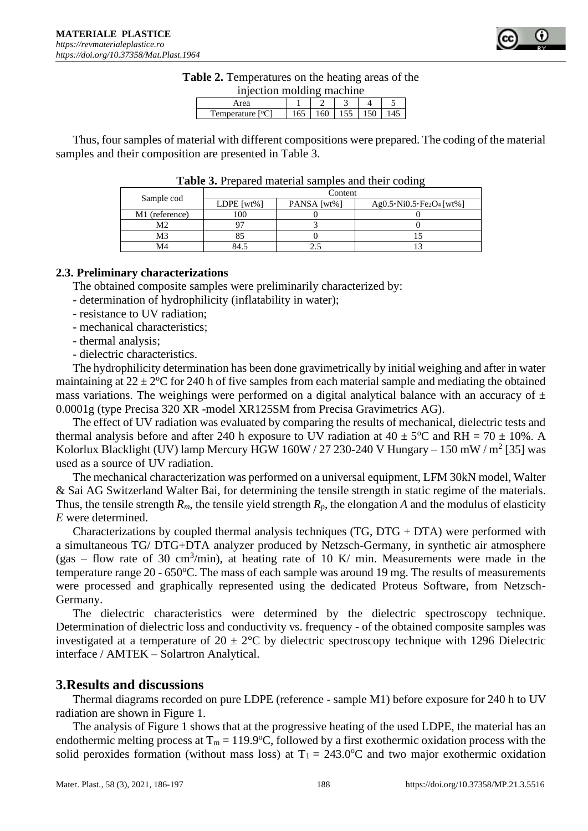

|  |  |  | <b>Table 2.</b> Temperatures on the heating areas of the |
|--|--|--|----------------------------------------------------------|
|  |  |  |                                                          |

| injection molding machine     |     |     |     |     |  |
|-------------------------------|-----|-----|-----|-----|--|
| Area                          |     |     |     |     |  |
| Temperature [ <sup>o</sup> C] | 165 | 160 | 155 | 150 |  |

Thus, four samples of material with different compositions were prepared. The coding of the material samples and their composition are presented in Table 3.

|                | Content         |             |                                                                  |  |  |  |  |
|----------------|-----------------|-------------|------------------------------------------------------------------|--|--|--|--|
| Sample cod     | LDPE [ $wt\%$ ] | PANSA [wt%] | Ag0.5 $\cdot$ Ni0.5 $\cdot$ Fe <sub>2</sub> O <sub>4</sub> [wt%] |  |  |  |  |
| M1 (reference) |                 |             |                                                                  |  |  |  |  |
| М2             |                 |             |                                                                  |  |  |  |  |
| M3             |                 |             |                                                                  |  |  |  |  |
| M4             | 34.             |             |                                                                  |  |  |  |  |

**Table 3.** Prepared material samples and their coding

### **2.3. Preliminary characterizations**

The obtained composite samples were preliminarily characterized by:

- determination of hydrophilicity (inflatability in water);
- resistance to UV radiation;
- mechanical characteristics;
- thermal analysis;
- dielectric characteristics.

The hydrophilicity determination has been done gravimetrically by initial weighing and after in water maintaining at  $22 \pm 2^{\circ}$ C for 240 h of five samples from each material sample and mediating the obtained mass variations. The weighings were performed on a digital analytical balance with an accuracy of  $\pm$ 0.0001g (type Precisa 320 XR -model XR125SM from Precisa Gravimetrics AG).

The effect of UV radiation was evaluated by comparing the results of mechanical, dielectric tests and thermal analysis before and after 240 h exposure to UV radiation at  $40 \pm 5^{\circ}$ C and RH = 70  $\pm$  10%. A Kolorlux Blacklight (UV) lamp Mercury HGW  $160W/27230-240V$  Hungary  $-150$  mW  $/m^2$  [35] was used as a source of UV radiation.

The mechanical characterization was performed on a universal equipment, LFM 30kN model, Walter & Sai AG Switzerland Walter Bai, for determining the tensile strength in static regime of the materials. Thus, the tensile strength  $R_m$ , the tensile yield strength  $R_p$ , the elongation *A* and the modulus of elasticity *E* were determined.

Characterizations by coupled thermal analysis techniques (TG, DTG + DTA) were performed with a simultaneous TG/ DTG+DTA analyzer produced by Netzsch-Germany, in synthetic air atmosphere (gas – flow rate of 30 cm<sup>3</sup>/min), at heating rate of 10 K/ min. Measurements were made in the temperature range  $20 - 650^{\circ}$ C. The mass of each sample was around 19 mg. The results of measurements were processed and graphically represented using the dedicated Proteus Software, from Netzsch-Germany.

The dielectric characteristics were determined by the dielectric spectroscopy technique. Determination of dielectric loss and conductivity vs. frequency - of the obtained composite samples was investigated at a temperature of  $20 \pm 2^{\circ}$ C by dielectric spectroscopy technique with 1296 Dielectric interface / AMTEK – Solartron Analytical.

## **3.Results and discussions**

Thermal diagrams recorded on pure LDPE (reference - sample M1) before exposure for 240 h to UV radiation are shown in Figure 1.

The analysis of Figure 1 shows that at the progressive heating of the used LDPE, the material has an endothermic melting process at  $T_m = 119.9$ °C, followed by a first exothermic oxidation process with the solid peroxides formation (without mass loss) at  $T_1 = 243.0$ °C and two major exothermic oxidation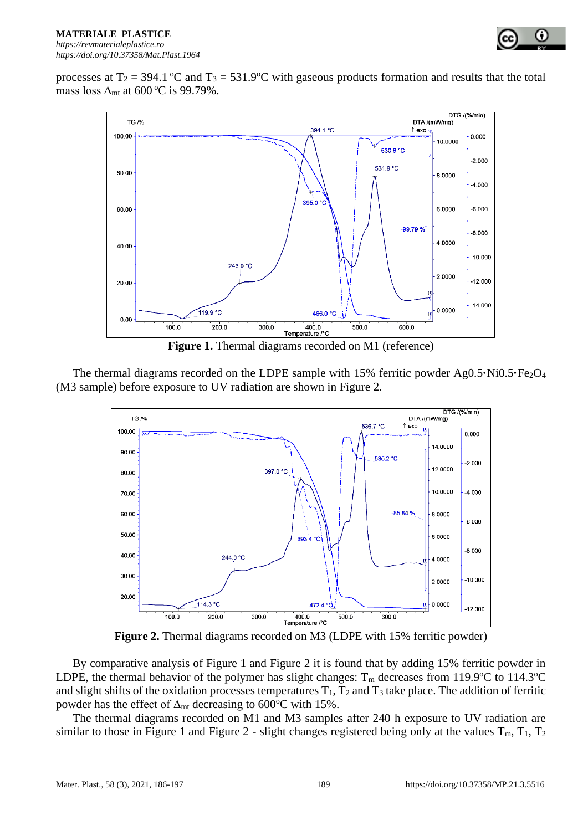

processes at  $T_2 = 394.1$  °C and  $T_3 = 531.9$ °C with gaseous products formation and results that the total mass loss  $\Delta_{mt}$  at 600 °C is 99.79%.



**Figure 1.** Thermal diagrams recorded on M1 (reference)

The thermal diagrams recorded on the LDPE sample with 15% ferritic powder Ag0.5**·**Ni0.5**·**Fe<sub>2</sub>O<sub>4</sub> (M3 sample) before exposure to UV radiation are shown in Figure 2.



**Figure 2.** Thermal diagrams recorded on M3 (LDPE with 15% ferritic powder)

By comparative analysis of Figure 1 and Figure 2 it is found that by adding 15% ferritic powder in LDPE, the thermal behavior of the polymer has slight changes:  $T_m$  decreases from 119.9°C to 114.3°C and slight shifts of the oxidation processes temperatures  $T_1$ ,  $T_2$  and  $T_3$  take place. The addition of ferritic powder has the effect of  $\Delta_{\rm mt}$  decreasing to 600°C with 15%.

The thermal diagrams recorded on M1 and M3 samples after 240 h exposure to UV radiation are similar to those in Figure 1 and Figure 2 - slight changes registered being only at the values  $T_m$ ,  $T_1$ ,  $T_2$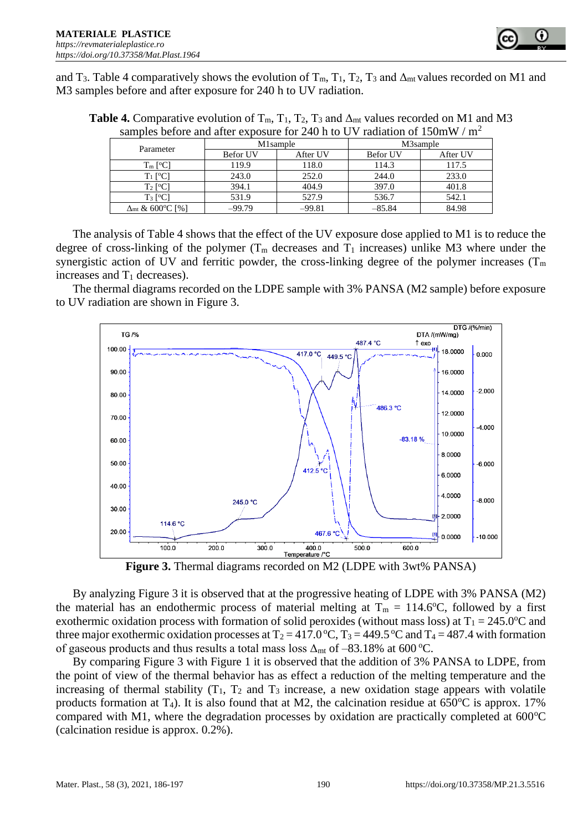

and T<sub>3</sub>. Table 4 comparatively shows the evolution of T<sub>m</sub>, T<sub>1</sub>, T<sub>2</sub>, T<sub>3</sub> and  $\Delta_{mt}$  values recorded on M1 and M3 samples before and after exposure for 240 h to UV radiation.

| <b>Table 4.</b> Comparative evolution of $T_m$ , $T_1$ , $T_2$ , $T_3$ and $\Delta_{mt}$ values recorded on M1 and M3 |
|-----------------------------------------------------------------------------------------------------------------------|
| samples before and after exposure for 240 h to UV radiation of $150 \text{mW}$ / $\text{m}^2$                         |

|                                    |          | M1sample | M3sample        |          |  |
|------------------------------------|----------|----------|-----------------|----------|--|
| Parameter                          | Befor UV | After UV | <b>Befor UV</b> | After UV |  |
| $T_m$ [ <sup>o</sup> C]            | 119.9    | 118.0    | 114.3           | 117.5    |  |
| $T_1$ [ <sup>o</sup> C]            | 243.0    | 252.0    | 244.0           | 233.0    |  |
| $T_2$ [ <sup>o</sup> C]            | 394.1    | 404.9    | 397.0           | 401.8    |  |
| $T_3$ [ <sup>o</sup> C]            | 531.9    | 527.9    | 536.7           | 542.1    |  |
| $\Delta$ <sub>mt</sub> & 600°C [%] | $-99.79$ | $-99.81$ | $-85.84$        | 84.98    |  |

The analysis of Table 4 shows that the effect of the UV exposure dose applied to M1 is to reduce the degree of cross-linking of the polymer  $(T_m$  decreases and  $T_1$  increases) unlike M3 where under the synergistic action of UV and ferritic powder, the cross-linking degree of the polymer increases ( $T_m$ ) increases and  $T_1$  decreases).

The thermal diagrams recorded on the LDPE sample with 3% PANSA (M2 sample) before exposure to UV radiation are shown in Figure 3.



**Figure 3.** Thermal diagrams recorded on M2 (LDPE with 3wt% PANSA)

By analyzing Figure 3 it is observed that at the progressive heating of LDPE with 3% PANSA (M2) the material has an endothermic process of material melting at  $T_m = 114.6$ °C, followed by a first exothermic oxidation process with formation of solid peroxides (without mass loss) at  $T_1 = 245.0$ °C and three major exothermic oxidation processes at  $T_2 = 417.0 \degree C$ ,  $T_3 = 449.5 \degree C$  and  $T_4 = 487.4$  with formation of gaseous products and thus results a total mass loss  $\Delta_{mt}$  of –83.18% at 600 °C.

By comparing Figure 3 with Figure 1 it is observed that the addition of 3% PANSA to LDPE, from the point of view of the thermal behavior has as effect a reduction of the melting temperature and the increasing of thermal stability  $(T_1, T_2, T_3)$  increase, a new oxidation stage appears with volatile products formation at T<sub>4</sub>). It is also found that at M2, the calcination residue at  $650^{\circ}$ C is approx. 17% compared with M1, where the degradation processes by oxidation are practically completed at  $600^{\circ}$ C (calcination residue is approx. 0.2%).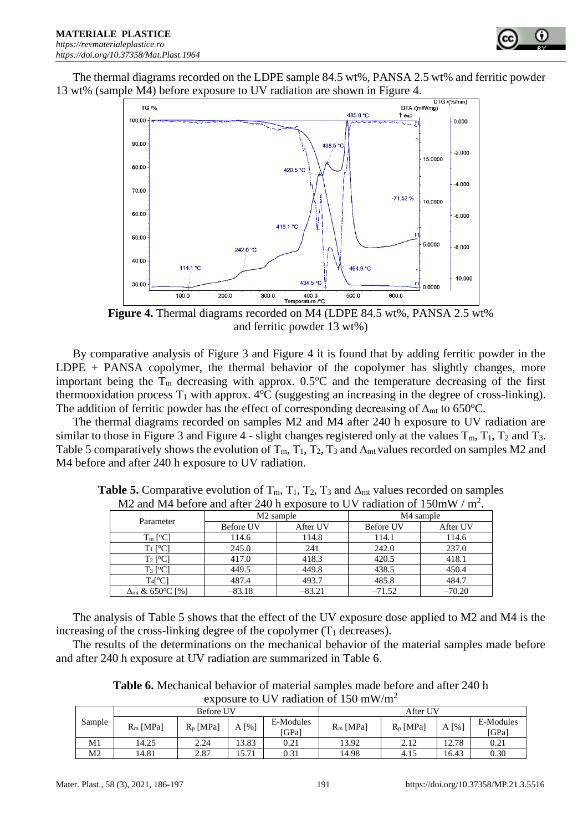

The thermal diagrams recorded on the LDPE sample 84.5 wt%, PANSA 2.5 wt% and ferritic powder 13 wt% (sample M4) before exposure to UV radiation are shown in Figure 4.



**Figure 4.** Thermal diagrams recorded on M4 (LDPE 84.5 wt%, PANSA 2.5 wt% and ferritic powder 13 wt%)

By comparative analysis of Figure 3 and Figure 4 it is found that by adding ferritic powder in the LDPE + PANSA copolymer, the thermal behavior of the copolymer has slightly changes, more important being the  $T_m$  decreasing with approx. 0.5 $\degree$ C and the temperature decreasing of the first thermooxidation process  $T_1$  with approx.  $4^{\circ}C$  (suggesting an increasing in the degree of cross-linking). The addition of ferritic powder has the effect of corresponding decreasing of  $\Delta_{mt}$  to 650°C.

The thermal diagrams recorded on samples M2 and M4 after 240 h exposure to UV radiation are similar to those in Figure 3 and Figure 4 - slight changes registered only at the values  $T_m$ ,  $T_1$ ,  $T_2$  and  $T_3$ . Table 5 comparatively shows the evolution of  $T_m$ ,  $T_1$ ,  $T_2$ ,  $T_3$  and  $\Delta_{mt}$  values recorded on samples M2 and M4 before and after 240 h exposure to UV radiation.

| $1812$ and $1914$ before and after 240 if exposure to O V Tadiation of Toom W / III. |                  |                       |                  |          |  |  |
|--------------------------------------------------------------------------------------|------------------|-----------------------|------------------|----------|--|--|
|                                                                                      |                  | M <sub>2</sub> sample | M4 sample        |          |  |  |
| Parameter                                                                            | <b>Before UV</b> | After UV              | <b>Before UV</b> | After UV |  |  |
| $T_m$ [ <sup>o</sup> C]                                                              | 114.6            | 114.8                 | 114.1            | 114.6    |  |  |
| $T_1$ [ <sup>o</sup> C]                                                              | 245.0            | 241                   | 242.0            | 237.0    |  |  |
| $T_2$ [ <sup>o</sup> C]                                                              | 417.0            | 418.3                 | 420.5            | 418.1    |  |  |
| $T_3$ [ <sup>o</sup> C]                                                              | 449.5            | 449.8                 | 438.5            | 450.4    |  |  |
| $T_4$ [°C]                                                                           | 487.4            | 493.7                 | 485.8            | 484.7    |  |  |
| $\Delta$ mt & 650°C [%]                                                              | $-83.18$         | $-83.21$              | $-71.52$         | $-70.20$ |  |  |

**Table 5.** Comparative evolution of  $T_m$ ,  $T_1$ ,  $T_2$ ,  $T_3$  and  $\Delta_{mt}$  values recorded on samples M2 and M4 before and after 240 h exposure to UV radiation of  $150 \text{mW}$  /  $\text{m}^2$ .

The analysis of Table 5 shows that the effect of the UV exposure dose applied to M2 and M4 is the increasing of the cross-linking degree of the copolymer  $(T_1$  decreases).

The results of the determinations on the mechanical behavior of the material samples made before and after 240 h exposure at UV radiation are summarized in Table 6.

**Table 6.** Mechanical behavior of material samples made before and after 240 h exposure to UV radiation of 150 mW/m<sup>2</sup>

|        | Before UV   |             |         |                    | After UV    |             |                        |                    |
|--------|-------------|-------------|---------|--------------------|-------------|-------------|------------------------|--------------------|
| Sample | $R_m$ [MPa] | $R_p$ [MPa] | $A[\%]$ | E-Modules<br>[GPa] | $R_m$ [MPa] | $R_p$ [MPa] | $\lceil\% \rceil$<br>A | E-Modules<br>[GPa] |
| M1     | 14.25       | 2.24        | 13.83   | 0.21               | 13.92       | 2.12        | 12.78                  | 0.21               |
| M2     | 14.81       | 2.87        | 15.71   | 0.31               | 14.98       | 4.15        | 16.43                  | 0.30               |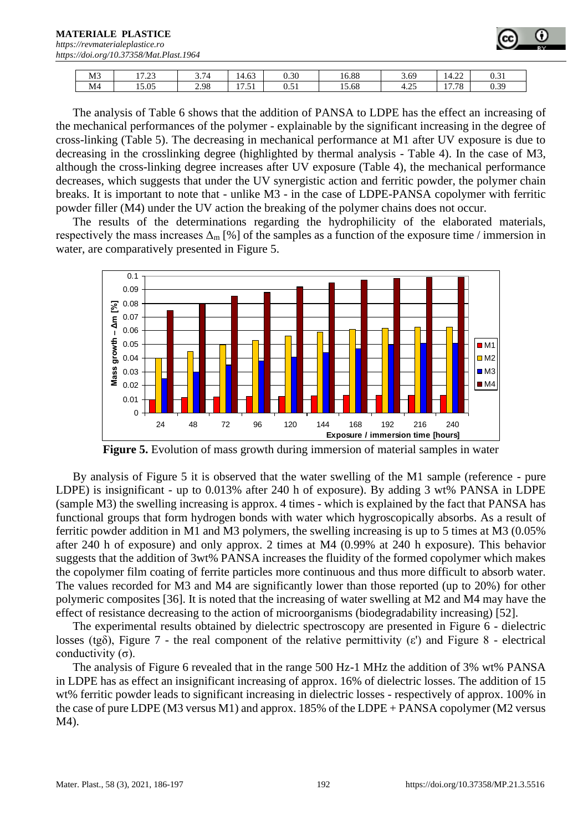#### **MATERIALE PLASTICE**

*[https://revmaterialeplastice.ro](https://revmaterialeplastice.ro/) https://doi.org/10.37358/Mat.Plast.1964*

| M <sub>3</sub> | 5.7.2<br>ر __ | $\overline{ }$ $\overline{ }$<br>3.14 | $\sim$<br>14.63      | 0.30                  | 16.88 | 3.69                  | $\sim$<br>14.22               | 0.21<br>0.31 |
|----------------|---------------|---------------------------------------|----------------------|-----------------------|-------|-----------------------|-------------------------------|--------------|
| M <sub>4</sub> | 15.05         | 2.98                                  | . .<br>$-1$<br>11.JI | $\sim$ $\sim$<br>v.vi | 15.68 | $\sim$ $\sim$<br>4.2. | $\overline{ }$<br>70<br>11.10 | 0.39         |

The analysis of Table 6 shows that the addition of PANSA to LDPE has the effect an increasing of the mechanical performances of the polymer - explainable by the significant increasing in the degree of cross-linking (Table 5). The decreasing in mechanical performance at M1 after UV exposure is due to decreasing in the crosslinking degree (highlighted by thermal analysis - Table 4). In the case of M3, although the cross-linking degree increases after UV exposure (Table 4), the mechanical performance decreases, which suggests that under the UV synergistic action and ferritic powder, the polymer chain breaks. It is important to note that - unlike M3 - in the case of LDPE-PANSA copolymer with ferritic powder filler (M4) under the UV action the breaking of the polymer chains does not occur.

The results of the determinations regarding the hydrophilicity of the elaborated materials, respectively the mass increases  $\Delta_{m}$  [%] of the samples as a function of the exposure time / immersion in water, are comparatively presented in Figure 5.



**Figure 5.** Evolution of mass growth during immersion of material samples in water

By analysis of Figure 5 it is observed that the water swelling of the M1 sample (reference - pure LDPE) is insignificant - up to 0.013% after 240 h of exposure). By adding 3 wt% PANSA in LDPE (sample M3) the swelling increasing is approx. 4 times - which is explained by the fact that PANSA has functional groups that form hydrogen bonds with water which hygroscopically absorbs. As a result of ferritic powder addition in M1 and M3 polymers, the swelling increasing is up to 5 times at M3 (0.05% after 240 h of exposure) and only approx. 2 times at M4 (0.99% at 240 h exposure). This behavior suggests that the addition of 3wt% PANSA increases the fluidity of the formed copolymer which makes the copolymer film coating of ferrite particles more continuous and thus more difficult to absorb water. The values recorded for M3 and M4 are significantly lower than those reported (up to 20%) for other polymeric composites [36]. It is noted that the increasing of water swelling at M2 and M4 may have the effect of resistance decreasing to the action of microorganisms (biodegradability increasing) [52].

The experimental results obtained by dielectric spectroscopy are presented in Figure 6 - dielectric losses (tg $\delta$ ), Figure 7 - the real component of the relative permittivity ( $\varepsilon$ <sup>'</sup>) and Figure 8 - electrical conductivity (σ).

The analysis of Figure 6 revealed that in the range 500 Hz-1 MHz the addition of 3% wt% PANSA in LDPE has as effect an insignificant increasing of approx. 16% of dielectric losses. The addition of 15 wt% ferritic powder leads to significant increasing in dielectric losses - respectively of approx. 100% in the case of pure LDPE (M3 versus M1) and approx. 185% of the LDPE + PANSA copolymer (M2 versus M4).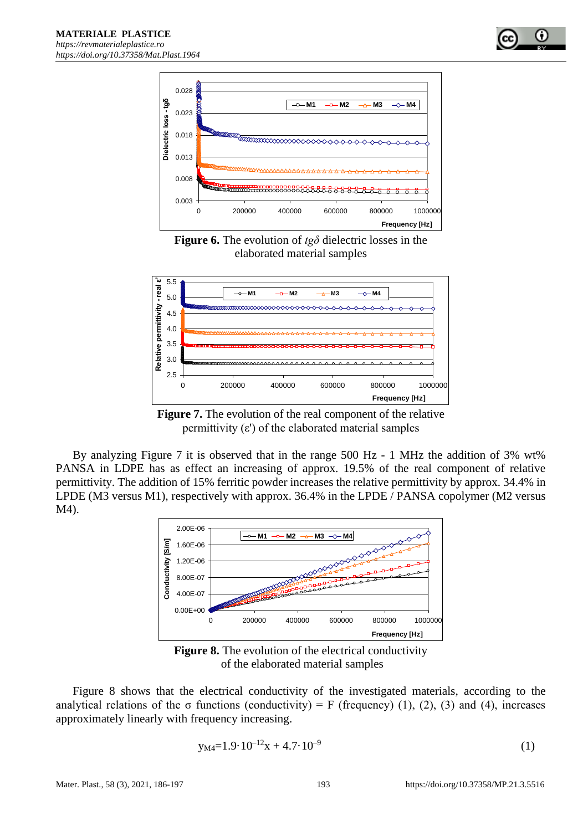

**Figure 6.** The evolution of *tgδ* dielectric losses in the elaborated material samples



**Figure 7.** The evolution of the real component of the relative permittivity  $(\varepsilon')$  of the elaborated material samples

By analyzing Figure 7 it is observed that in the range 500 Hz - 1 MHz the addition of 3% wt% PANSA in LDPE has as effect an increasing of approx. 19.5% of the real component of relative permittivity. The addition of 15% ferritic powder increases the relative permittivity by approx. 34.4% in LPDE (M3 versus M1), respectively with approx. 36.4% in the LPDE / PANSA copolymer (M2 versus M4).



**Figure 8.** The evolution of the electrical conductivity of the elaborated material samples

Figure 8 shows that the electrical conductivity of the investigated materials, according to the analytical relations of the  $\sigma$  functions (conductivity) = F (frequency) (1), (2), (3) and (4), increases approximately linearly with frequency increasing.

$$
y_{M4}=1.9 \cdot 10^{-12}x + 4.7 \cdot 10^{-9} \tag{1}
$$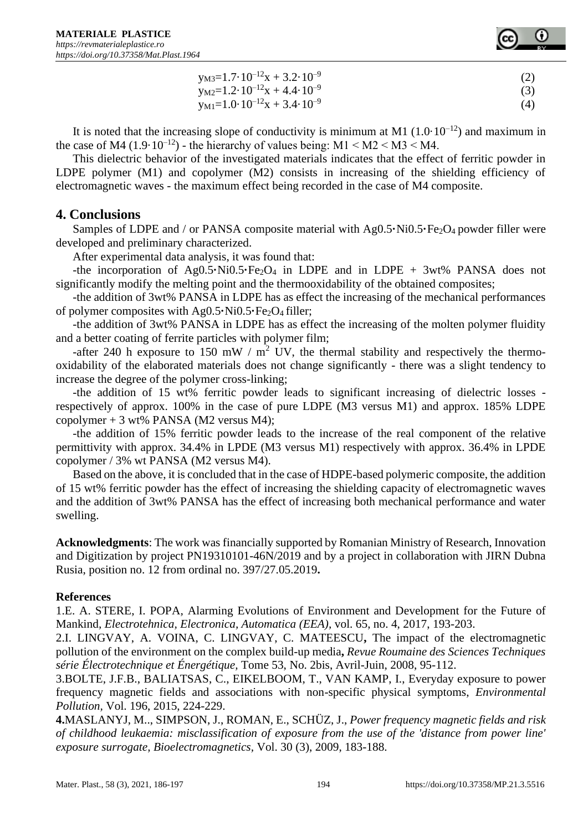

| $y_{M3}=1.7\cdot10^{-12}x+3.2\cdot10^{-9}$       |     |
|--------------------------------------------------|-----|
| $y_{M2}=1.2 \cdot 10^{-12}x + 4.4 \cdot 10^{-9}$ | (3) |
| $y_{M1}=1.0.10^{-12}x + 3.4.10^{-9}$             | (4) |

It is noted that the increasing slope of conductivity is minimum at M1  $(1.0 \cdot 10^{-12})$  and maximum in the case of M4 (1.9·10<sup>-12</sup>) - the hierarchy of values being: M1  $\leq M2 \leq M3 \leq M4$ .

This dielectric behavior of the investigated materials indicates that the effect of ferritic powder in LDPE polymer (M1) and copolymer (M2) consists in increasing of the shielding efficiency of electromagnetic waves - the maximum effect being recorded in the case of M4 composite.

# **4. Conclusions**

Samples of LDPE and / or PANSA composite material with Ag0.5 $\cdot$ Ni0.5 $\cdot$ Fe<sub>2</sub>O<sub>4</sub> powder filler were developed and preliminary characterized.

After experimental data analysis, it was found that:

-the incorporation of  $Ag0.5 \cdot Ni0.5 \cdot Fe_2O_4$  in LDPE and in LDPE +  $3wt\%$  PANSA does not significantly modify the melting point and the thermooxidability of the obtained composites;

-the addition of 3wt% PANSA in LDPE has as effect the increasing of the mechanical performances of polymer composites with Ag0.5**·**Ni0.5**·**Fe<sub>2</sub>O<sub>4</sub> filler;

-the addition of 3wt% PANSA in LDPE has as effect the increasing of the molten polymer fluidity and a better coating of ferrite particles with polymer film;

-after 240 h exposure to 150 mW /  $m^2$  UV, the thermal stability and respectively the thermooxidability of the elaborated materials does not change significantly - there was a slight tendency to increase the degree of the polymer cross-linking;

-the addition of 15 wt% ferritic powder leads to significant increasing of dielectric losses respectively of approx. 100% in the case of pure LDPE (M3 versus M1) and approx. 185% LDPE copolymer  $+3$  wt% PANSA (M2 versus M4);

-the addition of 15% ferritic powder leads to the increase of the real component of the relative permittivity with approx. 34.4% in LPDE (M3 versus M1) respectively with approx. 36.4% in LPDE copolymer / 3% wt PANSA (M2 versus M4).

Based on the above, it is concluded that in the case of HDPE-based polymeric composite, the addition of 15 wt% ferritic powder has the effect of increasing the shielding capacity of electromagnetic waves and the addition of 3wt% PANSA has the effect of increasing both mechanical performance and water swelling.

**Acknowledgments**: The work was financially supported by Romanian Ministry of Research, Innovation and Digitization by project PN19310101-46N/2019 and by a project in collaboration with JIRN Dubna Rusia, position no. 12 from ordinal no. 397/27.05.2019**.**

#### **References**

1.E. A. STERE, I. POPA*,* Alarming Evolutions of Environment and Development for the Future of Mankind*, Electrotehnica, Electronica, Automatica (EEA),* vol. 65, no. 4, 2017, 193-203.

2.I. LINGVAY, A. VOINA, C. LINGVAY, C. MATEESCU**,** The impact of the electromagnetic pollution of the environment on the complex build-up media**,** *Revue Roumaine des Sciences Techniques série Électrotechnique et Énergétique,* Tome 53, No. 2bis, Avril-Juin, 2008, 95-112.

3.BOLTE, J.F.B., BALIATSAS, C., EIKELBOOM, T., VAN KAMP, I., Everyday exposure to power frequency magnetic fields and associations with non-specific physical symptoms, *[Environmental](https://www.scopus.com/sourceid/23916?origin=recordpage) [Pollution,](https://www.scopus.com/sourceid/23916?origin=recordpage)* Vol. 196, 2015, 224-229.

**4.**[MASLANYJ, M..,](https://www.scopus.com/authid/detail.uri?authorId=36860584700&eid=2-s2.0-65249130631) [SIMPSON, J.,](https://www.scopus.com/authid/detail.uri?authorId=8856063900&eid=2-s2.0-65249130631) [ROMAN, E.,](https://www.scopus.com/authid/detail.uri?authorId=7101781785&eid=2-s2.0-65249130631) [SCHÜZ, J.,](https://www.scopus.com/authid/detail.uri?authorId=7003322462&eid=2-s2.0-65249130631) *Power frequency magnetic fields and risk of childhood leukaemia: misclassification of exposure from the use of the 'distance from power line' exposure surrogate, [Bioelectromagnetics,](https://www.scopus.com/sourceid/14839?origin=recordpage)* Vol. 30 (3), 2009, 183-188.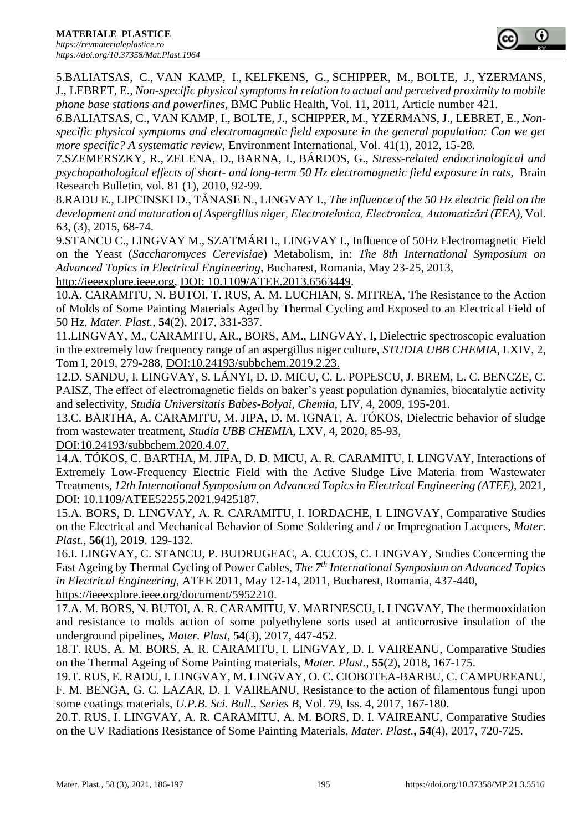5.BALIATSAS, C., VAN KAMP, I., KELFKENS, G., SCHIPPER, M., BOLTE, J., YZERMANS, J., LEBRET, E*., Non-specific physical symptoms in relation to actual and perceived proximity to mobile phone base stations and powerlines,* BMC Public [Health,](https://www.scopus.com/sourceid/19621?origin=recordpage) Vol. 11, 2011, Article number 421.

*6.*BALIATSAS, C., VAN KAMP, I., BOLTE, J., SCHIPPER, M., YZERMANS, J., LEBRET, E., *Nonspecific physical symptoms and electromagnetic field exposure in the general population: Can we get more specific? A systematic review,* Environment International, Vol. 41(1), 2012, 15-28.

*7.*SZEMERSZKY, R., ZELENA, D., BARNA, I., BÁRDOS, G., *Stress-related endocrinological and psychopathological effects of short- and long-term 50 Hz electromagnetic field exposure in rats,* Brain Research Bulletin, vol. 81 (1), 2010, 92-99.

8.RADU E., LIPCINSKI D., TĂNASE N., LINGVAY I., *The influence of the 50 Hz electric field on the development and maturation of Aspergillus niger, Electrotehnica, Electronica, Automatizări (EEA),* Vol. 63, (3), 2015, 68-74.

9.STANCU C., LINGVAY M., SZATMÁRI I., LINGVAY I.*,* Influence of 50Hz Electromagnetic Field on the Yeast (*Saccharomyces Cerevisiae*) Metabolism, in: *The 8th International Symposium on Advanced Topics in Electrical Engineering,* Bucharest, Romania, May 23-25, 2013,

[http://ieeexplore.ieee.org,](http://ieeexplore.ieee.org/) DOI: [10.1109/ATEE.2013.6563449.](https://doi.org/10.1109/ATEE.2013.6563449)

10.A. CARAMITU, N. BUTOI, T. RUS, A. M. LUCHIAN, S. MITREA, The Resistance to the Action of Molds of Some Painting Materials Aged by Thermal Cycling and Exposed to an Electrical Field of 50 Hz, *Mater. Plast.,* **54**(2), 2017, 331-337.

11.LINGVAY, M., CARAMITU, AR., BORS, AM., LINGVAY, I**,** Dielectric spectroscopic evaluation in the extremely low frequency range of an aspergillus niger culture*, STUDIA UBB CHEMIA*, LXIV, 2, Tom I, 2019, 279-288, DOI:10.24193/subbchem.2019.2.23.

12.D. SANDU, I. LINGVAY, S. LÁNYI, D. D. MICU, C. L. POPESCU, J. BREM, L. C. BENCZE, C. PAISZ, The effect of electromagnetic fields on baker's yeast population dynamics, biocatalytic activity and selectivity, *Studia Universitatis Babes-Bolyai, Chemia,* LIV, 4, 2009, 195-201.

13.C. BARTHA, A. CARAMITU, M. JIPA, D. M. IGNAT, A. TÓKOS, Dielectric behavior of sludge from wastewater treatment, *Studia UBB CHEMIA,* LXV, 4, 2020, 85-93,

DOI:10.24193/subbchem.2020.4.07.

14.A. TÓKOS, C. BARTHA, M. JIPA, D. D. MICU, A. R. CARAMITU, I. LINGVAY, Interactions of Extremely Low-Frequency Electric Field with the Active Sludge Live Materia from Wastewater Treatments, *12th International Symposium on Advanced Topics in Electrical Engineering (ATEE),* 2021, DOI: [10.1109/ATEE52255.2021.9425187.](https://doi.org/10.1109/ATEE52255.2021.9425187)

15.A. BORS, D. LINGVAY, A. R. CARAMITU, I. IORDACHE, I. LINGVAY, Comparative Studies on the Electrical and Mechanical Behavior of Some Soldering and / or Impregnation Lacquers, *Mater*. *Plast.,* **56**(1), 2019. 129-132.

16.I. LINGVAY, C. STANCU, P. BUDRUGEAC, A. CUCOS, C. LINGVAY, Studies Concerning the Fast Ageing by Thermal Cycling of Power Cables, *The 7th International Symposium on Advanced Topics in Electrical Engineering*, ATEE 2011, May 12-14, 2011, Bucharest, Romania, 437-440, [https://ieeexplore.ieee.org/document/5952210.](https://ieeexplore.ieee.org/document/5952210)

17.A. M. BORS, N. BUTOI, A. R. CARAMITU, V. MARINESCU, I. LINGVAY, The thermooxidation and resistance to molds action of some polyethylene sorts used at anticorrosive insulation of the underground pipelines*, Mater. Plast,* **54**(3), 2017, 447-452.

18.T. RUS, A. M. BORS, A. R. CARAMITU, I. LINGVAY, D. I. VAIREANU, Comparative Studies on the Thermal Ageing of Some Painting materials, *Mater. Plast.,* **55**(2), 2018, 167-175.

19.T. RUS, E. RADU, I. LINGVAY, M. LINGVAY, O. C. CIOBOTEA-BARBU, C. CAMPUREANU, F. M. BENGA, G. C. LAZAR, D. I. VAIREANU, Resistance to the action of filamentous fungi upon some coatings materials, *U.P.B. Sci. Bull., Series B*, Vol. 79, Iss. 4, 2017, 167-180.

20.T. RUS, I. LINGVAY, A. R. CARAMITU, A. M. BORS, D. I. VAIREANU, Comparative Studies on the UV Radiations Resistance of Some Painting Materials, *Mater. Plast.***, 54**(4), 2017, 720-725.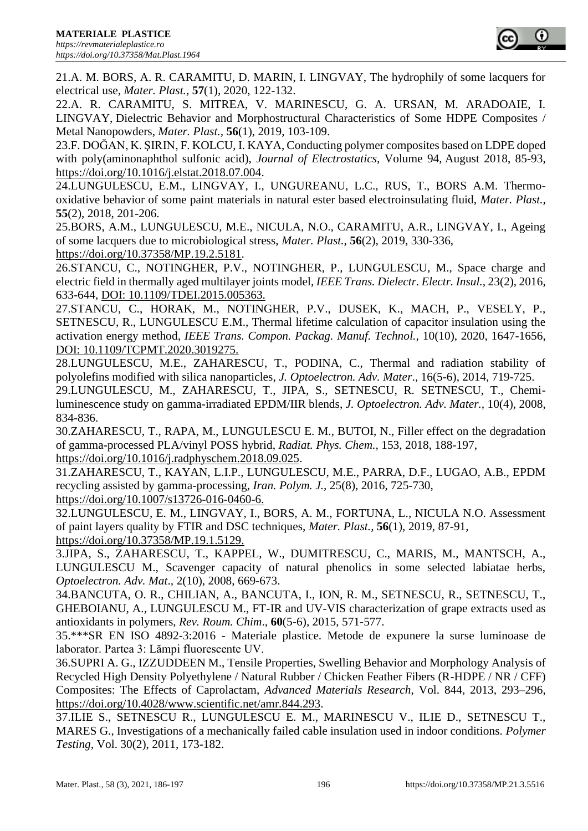21.A. M. BORS, A. R. CARAMITU, D. MARIN, I. LINGVAY, The hydrophily of some lacquers for electrical use, *Mater. Plast.,* **57**(1), 2020, 122-132.

22.A. R. CARAMITU, S. MITREA, V. MARINESCU, G. A. URSAN, M. ARADOAIE, I. LINGVAY, Dielectric Behavior and Morphostructural Characteristics of Some HDPE Composites / Metal Nanopowders, *Mater. Plast.,* **56**(1), 2019, 103-109.

23.F. DOĞAN, K. ŞIRIN, F. KOLCU, I. KAYA, Conducting polymer composites based on LDPE doped with poly(aminonaphthol sulfonic acid), *Journal of Electrostatics,* Volume 94, August 2018, 85-93, [https://doi.org/10.1016/j.elstat.2018.07.004.](https://doi.org/10.1016/j.elstat.2018.07.004)

24.LUNGULESCU, E.M., LINGVAY, I., UNGUREANU, L.C., RUS, T., BORS A.M. Thermooxidative behavior of some paint materials in natural ester based electroinsulating fluid, *Mater. Plast.,* **55**(2), 2018, 201-206.

25.BORS, A.M., LUNGULESCU, M.E., NICULA, N.O., CARAMITU, A.R., LINGVAY, I., Ageing of some lacquers due to microbiological stress, *Mater. Plast.,* **56**(2), 2019, 330-336, [https://doi.org/10.37358/MP.19.2.5181.](https://doi.org/10.37358/MP.19.2.5181)

26.STANCU, C., NOTINGHER, P.V., NOTINGHER, P., LUNGULESCU, M., Space charge and electric field in thermally aged multilayer joints model, *IEEE Trans. Dielectr. Electr. Insul.,* 23(2), 2016, 633-644, DOI: 10.1109/TDEI.2015.005363.

27.STANCU, C., HORAK, M., NOTINGHER, P.V., DUSEK, K., MACH, P., VESELY, P., SETNESCU, R., LUNGULESCU E.M., Thermal lifetime calculation of capacitor insulation using the activation energy method, *IEEE Trans. Compon. Packag. Manuf. Technol.,* 10(10), 2020, 1647-1656, DOI: 10.1109/TCPMT.2020.3019275.

28.LUNGULESCU, M.E., ZAHARESCU, T., PODINA, C., Thermal and radiation stability of polyolefins modified with silica nanoparticles, *J. Optoelectron. Adv. Mater*.*,* 16(5-6), 2014, 719-725.

29.LUNGULESCU, M., ZAHARESCU, T., JIPA, S., SETNESCU, R. SETNESCU, T., Chemiluminescence study on gamma-irradiated EPDM/IIR blends, *J. Optoelectron. Adv. Mater.,* 10(4), 2008, 834-836.

30.ZAHARESCU, T., RAPA, M., LUNGULESCU E. M., BUTOI, N., Filler effect on the degradation of gamma-processed PLA/vinyl POSS hybrid, *Radiat. Phys. Chem.,* 153, 2018, 188-197, https://doi.org/10.1016/j.radphyschem.2018.09.025.

31.ZAHARESCU, T., KAYAN, L.I.P., LUNGULESCU, M.E., PARRA, D.F., LUGAO, A.B., EPDM recycling assisted by gamma-processing, *Iran. Polym. J.,* 25(8), 2016, 725-730, https://doi.org/10.1007/s13726-016-0460-6.

32.LUNGULESCU, E. M., LINGVAY, I., BORS, A. M., FORTUNA, L., NICULA N.O. Assessment of paint layers quality by FTIR and DSC techniques, *Mater. Plast.,* **56**(1), 2019, 87-91, https://doi.org/10.37358/MP.19.1.5129.

3.JIPA, S., ZAHARESCU, T., KAPPEL, W., DUMITRESCU, C., MARIS, M., MANTSCH, A., LUNGULESCU M., Scavenger capacity of natural phenolics in some selected labiatae herbs, *Optoelectron. Adv. Mat*.*,* 2(10), 2008, 669-673.

34.BANCUTA, O. R., CHILIAN, A., BANCUTA, I., ION, R. M., SETNESCU, R., SETNESCU, T., GHEBOIANU, A., LUNGULESCU M., FT-IR and UV-VIS characterization of grape extracts used as antioxidants in polymers, *Rev. Roum. Chim*.*,* **60**(5-6), 2015, 571-577.

35.\*\*\*SR EN ISO 4892-3:2016 - Materiale plastice. Metode de expunere la surse luminoase de laborator. Partea 3: Lămpi fluorescente UV.

36.SUPRI A. G., IZZUDDEEN M., Tensile Properties, Swelling Behavior and Morphology Analysis of Recycled High Density Polyethylene / Natural Rubber / Chicken Feather Fibers (R-HDPE / NR / CFF) Composites: The Effects of Caprolactam, *Advanced Materials Research*, Vol. 844, 2013, 293–296, [https://doi.org/10.4028/www.scientific.net/amr.844.293.](https://doi.org/10.4028/www.scientific.net/amr.844.293)

37.ILIE S., SETNESCU R., LUNGULESCU E. M., MARINESCU V., ILIE D., SETNESCU T., MARES G., Investigations of a mechanically failed cable insulation used in indoor conditions. *Polymer Testing,* Vol. 30(2), 2011, 173-182.